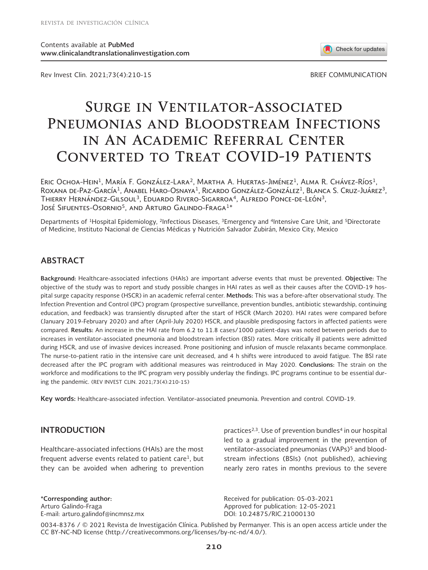Rev Invest Clin. 2021;73(4):210-15 BRIEF COMMUNICATION

Check for updates

# **Surge in Ventilator-Associated Pneumonias and Bloodstream Infections in An Academic Referral Center Converted to Treat COVID-19 Patients**

ERIC OCHOA-HEIN<sup>1</sup>, MARÍA F. GONZÁLEZ-LARA<sup>2</sup>, MARTHA A. HUERTAS-JIMÉNEZ<sup>1</sup>, ALMA R. CHÁVEZ-RÍOS<sup>1</sup>, ROXANA DE-PAZ-GARCÍA<sup>1</sup>, ANABEL HARO-OSNAYA<sup>1</sup>, RICARDO GONZÁLEZ-GONZÁLEZ<sup>1</sup>, BLANCA S. CRUZ-JUÁREZ<sup>3</sup>, Thierry Hernández-Gilsoul3, Eduardo Rivero-Sigarroa4, Alfredo Ponce-de-León3, José Sifuentes-Osornio<sup>5</sup>, and Arturo Galindo-Fraga<sup>1\*</sup>

Departments of <sup>1</sup>Hospital Epidemiology, <sup>2</sup>Infectious Diseases, <sup>3</sup>Emergency and <sup>4</sup>Intensive Care Unit, and <sup>5</sup>Directorate of Medicine, Instituto Nacional de Ciencias Médicas y Nutrición Salvador Zubirán, Mexico City, Mexico

## **ABSTRACT**

**Background:** Healthcare-associated infections (HAIs) are important adverse events that must be prevented. **Objective:** The objective of the study was to report and study possible changes in HAI rates as well as their causes after the COVID-19 hospital surge capacity response (HSCR) in an academic referral center. **Methods:** This was a before-after observational study. The Infection Prevention and Control (IPC) program (prospective surveillance, prevention bundles, antibiotic stewardship, continuing education, and feedback) was transiently disrupted after the start of HSCR (March 2020). HAI rates were compared before (January 2019-February 2020) and after (April-July 2020) HSCR, and plausible predisposing factors in affected patients were compared. **Results:** An increase in the HAI rate from 6.2 to 11.8 cases/1000 patient-days was noted between periods due to increases in ventilator-associated pneumonia and bloodstream infection (BSI) rates. More critically ill patients were admitted during HSCR, and use of invasive devices increased. Prone positioning and infusion of muscle relaxants became commonplace. The nurse-to-patient ratio in the intensive care unit decreased, and 4 h shifts were introduced to avoid fatigue. The BSI rate decreased after the IPC program with additional measures was reintroduced in May 2020. **Conclusions:** The strain on the workforce and modifications to the IPC program very possibly underlay the findings. IPC programs continue to be essential during the pandemic. (REV INVEST CLIN. 2021;73(4):210-15)

**Key words:** Healthcare-associated infection. Ventilator-associated pneumonia. Prevention and control. COVID-19.

### **INTRODUCTION**

Healthcare-associated infections (HAIs) are the most frequent adverse events related to patient care<sup>1</sup>, but they can be avoided when adhering to prevention

**\*Corresponding author:** Arturo Galindo-Fraga E-mail: arturo.galindof@incmnsz.mx practices<sup>2,3</sup>. Use of prevention bundles<sup>4</sup> in our hospital led to a gradual improvement in the prevention of ventilator-associated pneumonias (VAPs)<sup>5</sup> and bloodstream infections (BSIs) (not published), achieving nearly zero rates in months previous to the severe

Received for publication: 05-03-2021 Approved for publication: 12-05-2021 DOI: 10.24875/RIC.21000130

0034-8376 / © 2021 Revista de Investigación Clínica. Published by Permanyer. This is an open access article under the CC BY-NC-ND license (http://creativecommons.org/licenses/by-nc-nd/4.0/).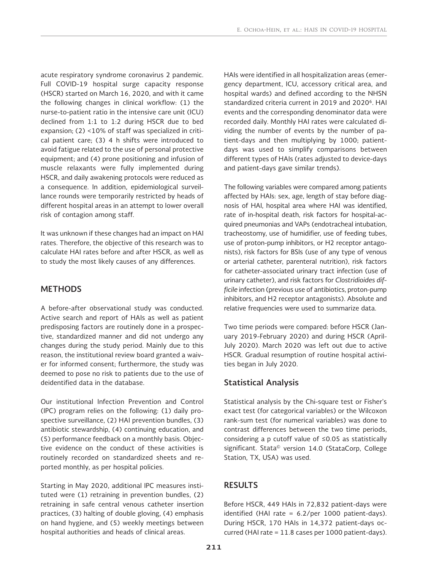acute respiratory syndrome coronavirus 2 pandemic. Full COVID-19 hospital surge capacity response (HSCR) started on March 16, 2020, and with it came the following changes in clinical workflow: (1) the nurse-to-patient ratio in the intensive care unit (ICU) declined from 1:1 to 1:2 during HSCR due to bed expansion; (2) <10% of staff was specialized in critical patient care; (3) 4 h shifts were introduced to avoid fatigue related to the use of personal protective equipment; and (4) prone positioning and infusion of muscle relaxants were fully implemented during HSCR, and daily awakening protocols were reduced as a consequence. In addition, epidemiological surveillance rounds were temporarily restricted by heads of different hospital areas in an attempt to lower overall risk of contagion among staff.

It was unknown if these changes had an impact on HAI rates. Therefore, the objective of this research was to calculate HAI rates before and after HSCR, as well as to study the most likely causes of any differences.

## **METHODS**

A before-after observational study was conducted. Active search and report of HAIs as well as patient predisposing factors are routinely done in a prospective, standardized manner and did not undergo any changes during the study period. Mainly due to this reason, the institutional review board granted a waiver for informed consent; furthermore, the study was deemed to pose no risk to patients due to the use of deidentified data in the database.

Our institutional Infection Prevention and Control (IPC) program relies on the following: (1) daily prospective surveillance, (2) HAI prevention bundles, (3) antibiotic stewardship, (4) continuing education, and (5) performance feedback on a monthly basis. Objective evidence on the conduct of these activities is routinely recorded on standardized sheets and reported monthly, as per hospital policies.

Starting in May 2020, additional IPC measures instituted were (1) retraining in prevention bundles, (2) retraining in safe central venous catheter insertion practices, (3) halting of double gloving, (4) emphasis on hand hygiene, and (5) weekly meetings between hospital authorities and heads of clinical areas.

HAIs were identified in all hospitalization areas (emergency department, ICU, accessory critical area, and hospital wards) and defined according to the NHSN standardized criteria current in 2019 and 20206. HAI events and the corresponding denominator data were recorded daily. Monthly HAI rates were calculated dividing the number of events by the number of patient-days and then multiplying by 1000; patientdays was used to simplify comparisons between different types of HAIs (rates adjusted to device-days and patient-days gave similar trends).

The following variables were compared among patients affected by HAIs: sex, age, length of stay before diagnosis of HAI, hospital area where HAI was identified, rate of in-hospital death, risk factors for hospital-acquired pneumonias and VAPs (endotracheal intubation, tracheostomy, use of humidifier, use of feeding tubes, use of proton-pump inhibitors, or H2 receptor antagonists), risk factors for BSIs (use of any type of venous or arterial catheter, parenteral nutrition), risk factors for catheter-associated urinary tract infection (use of urinary catheter), and risk factors for *Clostridioides difficile* infection (previous use of antibiotics, proton-pump inhibitors, and H2 receptor antagonists). Absolute and relative frequencies were used to summarize data.

Two time periods were compared: before HSCR (January 2019-February 2020) and during HSCR (April-July 2020). March 2020 was left out due to active HSCR. Gradual resumption of routine hospital activities began in July 2020.

## **Statistical Analysis**

Statistical analysis by the Chi-square test or Fisher's exact test (for categorical variables) or the Wilcoxon rank-sum test (for numerical variables) was done to contrast differences between the two time periods, considering a p cutoff value of ≤0.05 as statistically significant. Stata© version 14.0 (StataCorp, College Station, TX, USA) was used.

# **RESULTS**

Before HSCR, 449 HAIs in 72,832 patient-days were identified (HAI rate = 6.2/per 1000 patient-days). During HSCR, 170 HAIs in 14,372 patient-days occurred (HAI rate = 11.8 cases per 1000 patient-days).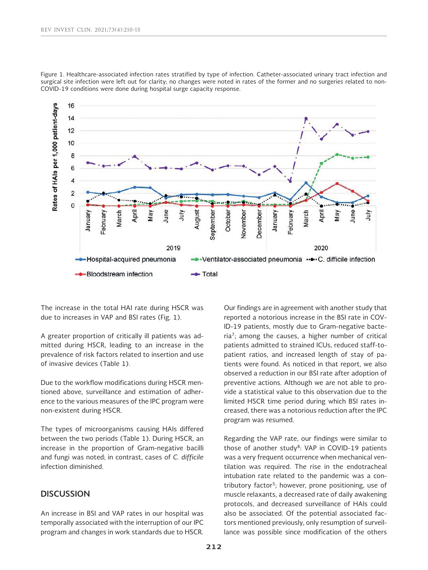

Figure 1. Healthcare-associated infection rates stratified by type of infection. Catheter-associated urinary tract infection and surgical site infection were left out for clarity; no changes were noted in rates of the former and no surgeries related to non-COVID-19 conditions were done during hospital surge capacity response.

The increase in the total HAI rate during HSCR was due to increases in VAP and BSI rates (Fig. 1).

A greater proportion of critically ill patients was admitted during HSCR, leading to an increase in the prevalence of risk factors related to insertion and use of invasive devices (Table 1).

Due to the workflow modifications during HSCR mentioned above, surveillance and estimation of adherence to the various measures of the IPC program were non-existent during HSCR.

The types of microorganisms causing HAIs differed between the two periods (Table 1). During HSCR, an increase in the proportion of Gram-negative bacilli and fungi was noted; in contrast, cases of *C. difficile*  infection diminished.

## **DISCUSSION**

An increase in BSI and VAP rates in our hospital was temporally associated with the interruption of our IPC program and changes in work standards due to HSCR. Our findings are in agreement with another study that reported a notorious increase in the BSI rate in COV-ID-19 patients, mostly due to Gram-negative bacteria<sup>7</sup>; among the causes, a higher number of critical patients admitted to strained ICUs, reduced staff-topatient ratios, and increased length of stay of patients were found. As noticed in that report, we also observed a reduction in our BSI rate after adoption of preventive actions. Although we are not able to provide a statistical value to this observation due to the limited HSCR time period during which BSI rates increased, there was a notorious reduction after the IPC program was resumed.

Regarding the VAP rate, our findings were similar to those of another study<sup>8</sup>: VAP in COVID-19 patients was a very frequent occurrence when mechanical ventilation was required. The rise in the endotracheal intubation rate related to the pandemic was a contributory factor<sup>5</sup>; however, prone positioning, use of muscle relaxants, a decreased rate of daily awakening protocols, and decreased surveillance of HAIs could also be associated. Of the potential associated factors mentioned previously, only resumption of surveillance was possible since modification of the others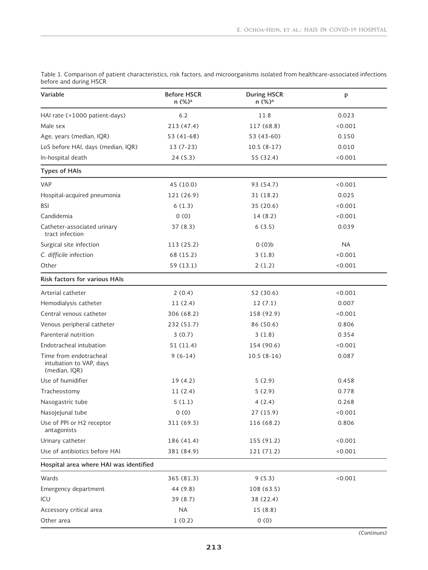| Variable                                                           | <b>Before HSCR</b><br>n (%) <sup>a</sup> | <b>During HSCR</b><br>n (%) <sup>a</sup> | p         |
|--------------------------------------------------------------------|------------------------------------------|------------------------------------------|-----------|
| HAI rate (×1000 patient-days)                                      | $6.2$                                    | 11.8                                     | 0.023     |
| Male sex                                                           | 213 (47.4)                               | 117 (68.8)                               | < 0.001   |
| Age, years (median, IQR)                                           | 53 (41-68)                               | 53 (43-60)                               | 0.150     |
| LoS before HAI, days (median, IQR)                                 | $13(7-23)$                               | $10.5(8-17)$                             | 0.010     |
| In-hospital death                                                  | 24(5.3)                                  | 55 (32.4)                                | < 0.001   |
| <b>Types of HAIs</b>                                               |                                          |                                          |           |
| <b>VAP</b>                                                         | 45 (10.0)                                | 93 (54.7)                                | < 0.001   |
| Hospital-acquired pneumonia                                        | 121 (26.9)                               | 31(18.2)                                 | 0.025     |
| <b>BSI</b>                                                         | 6(1.3)                                   | 35 (20.6)                                | < 0.001   |
| Candidemia                                                         | 0(0)                                     | 14(8.2)                                  | < 0.001   |
| Catheter-associated urinary<br>tract infection                     | 37(8.3)                                  | 6(3.5)                                   | 0.039     |
| Surgical site infection                                            | 113 (25.2)                               | 0(0)                                     | <b>NA</b> |
| C. difficile infection                                             | 68 (15.2)                                | 3(1.8)                                   | < 0.001   |
| Other                                                              | 59 (13.1)                                | 2(1.2)                                   | < 0.001   |
| <b>Risk factors for various HAIs</b>                               |                                          |                                          |           |
| Arterial catheter                                                  | 2(0.4)                                   | 52 (30.6)                                | < 0.001   |
| Hemodialysis catheter                                              | 11(2.4)                                  | 12(7.1)                                  | 0.007     |
| Central venous catheter                                            | 306 (68.2)                               | 158 (92.9)                               | < 0.001   |
| Venous peripheral catheter                                         | 232 (51.7)                               | 86 (50.6)                                | 0.806     |
| Parenteral nutrition                                               | 3(0.7)                                   | 3(1.8)                                   | 0.354     |
| Endotracheal intubation                                            | 51(11.4)                                 | 154 (90.6)                               | < 0.001   |
| Time from endotracheal<br>intubation to VAP, days<br>(median, IQR) | $9(6-14)$                                | $10.5(8-16)$                             | 0.087     |
| Use of humidifier                                                  | 19(4.2)                                  | 5(2.9)                                   | 0.458     |
| Tracheostomy                                                       | 11(2.4)                                  | 5(2.9)                                   | 0.778     |
| Nasogastric tube                                                   | 5(1.1)                                   | 4(2.4)                                   | 0.268     |
| Nasojejunal tube                                                   | 0(0)                                     | 27 (15.9)                                | 0.001     |
| Use of PPI or H2 receptor<br>antagonists                           | 311 (69.3)                               | 116 (68.2)                               | 0.806     |
| Urinary catheter                                                   | 186 (41.4)                               | 155 (91.2)                               | < 0.001   |
| Use of antibiotics before HAI                                      | 381 (84.9)                               | 121 (71.2)                               | < 0.001   |
| Hospital area where HAI was identified                             |                                          |                                          |           |
| Wards                                                              | 365 (81.3)                               | 9(5.3)                                   | < 0.001   |
| Emergency department                                               | 44 (9.8)                                 | 108 (63.5)                               |           |
| ICU                                                                | 39 (8.7)                                 | 38 (22.4)                                |           |
| Accessory critical area                                            | <b>NA</b>                                | 15(8.8)                                  |           |
| Other area                                                         | 1(0.2)                                   | 0(0)                                     |           |

Table 1. Comparison of patient characteristics, risk factors, and microorganisms isolated from healthcare-associated infections before and during HSCR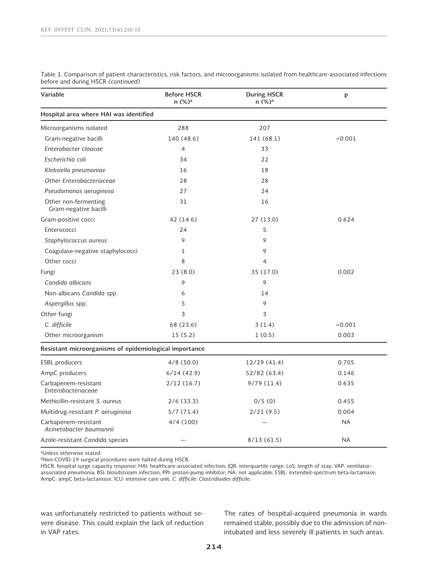| Variable                                               | <b>Before HSCR</b><br>n (%) <sup>a</sup> | <b>During HSCR</b><br>n (%) <sup>a</sup> | p         |
|--------------------------------------------------------|------------------------------------------|------------------------------------------|-----------|
| Hospital area where HAI was identified                 |                                          |                                          |           |
| Microorganisms isolated                                | 288                                      | 207                                      |           |
| Gram-negative bacilli                                  | 140 (48.6)                               | 141 (68.1)                               | < 0.001   |
| Enterobacter cloacae                                   | $\overline{4}$                           | 33                                       |           |
| Escherichia coli                                       | 34                                       | 22                                       |           |
| Klebsiella pneumoniae                                  | 16                                       | 18                                       |           |
| Other Enterobacteriaceae                               | 28                                       | 28                                       |           |
| Pseudomonas aeruginosa                                 | 27                                       | 24                                       |           |
| Other non-fermenting<br>Gram-negative bacilli          | 31                                       | 16                                       |           |
| Gram-positive cocci                                    | 42 (14.6)                                | 27 (13.0)                                | 0.624     |
| Enterococci                                            | 24                                       | 5                                        |           |
| Staphylococcus aureus                                  | 9                                        | 9                                        |           |
| Coagulase-negative staphylococci                       | 1                                        | 9                                        |           |
| Other cocci                                            | 8                                        | 4                                        |           |
| Fungi                                                  | 23(8.0)                                  | 35 (17.0)                                | 0.002     |
| Candida albicans                                       | 9                                        | 9                                        |           |
| Non-albicans Candida spp.                              | 6                                        | 14                                       |           |
| Aspergillus spp.                                       | 5                                        | 9                                        |           |
| Other fungi                                            | 3                                        | 3                                        |           |
| C. difficile                                           | 68 (23.6)                                | 3(1.4)                                   | < 0.001   |
| Other microorganism                                    | 15(5.2)                                  | 1(0.5)                                   | 0.003     |
| Resistant microorganisms of epidemiological importance |                                          |                                          |           |
| <b>ESBL</b> producers                                  | 4/8(50.0)                                | 12/29 (41.4)                             | 0.705     |
| AmpC producers                                         | 6/14(42.9)                               | 52/82 (63.4)                             | 0.146     |
| Carbapenem-resistant<br>Enterobacteriaceae             | 2/12(16.7)                               | 9/79(11.4)                               | 0.635     |
| Methicillin-resistant S. aureus                        | 2/6(33.3)                                | 0/5(0)                                   | 0.455     |
| Multidrug-resistant P. aeruginosa                      | 5/7(71.4)                                | 2/21(9.5)                                | 0.004     |
| Carbapenem-resistant<br>Acinetobacter baumannii        | 4/4(100)                                 |                                          | <b>NA</b> |
| Azole-resistant Candida species                        |                                          | 8/13(61.5)                               | <b>NA</b> |

Table 1. Comparison of patient characteristics, risk factors, and microorganisms isolated from healthcare-associated infections before and during HSCR *(continued)*

aUnless otherwise stated.

bNon-COVID-19 surgical procedures were halted during HSCR.

HSCR: hospital surge capacity response; HAI: healthcare-associated infection; IQR: interquartile range; LoS: length of stay; VAP: ventilatorassociated pneumonia; BSI: bloodstream infection; PPI: proton-pump inhibitor; NA: not applicable; ESBL: extended-spectrum beta-lactamase; AmpC: ampC beta-lactamase. ICU: intensive care unit, *C. difficile: Clostridioides difficile.*

was unfortunately restricted to patients without severe disease. This could explain the lack of reduction in VAP rates.

The rates of hospital-acquired pneumonia in wards remained stable, possibly due to the admission of nonintubated and less severely ill patients in such areas.